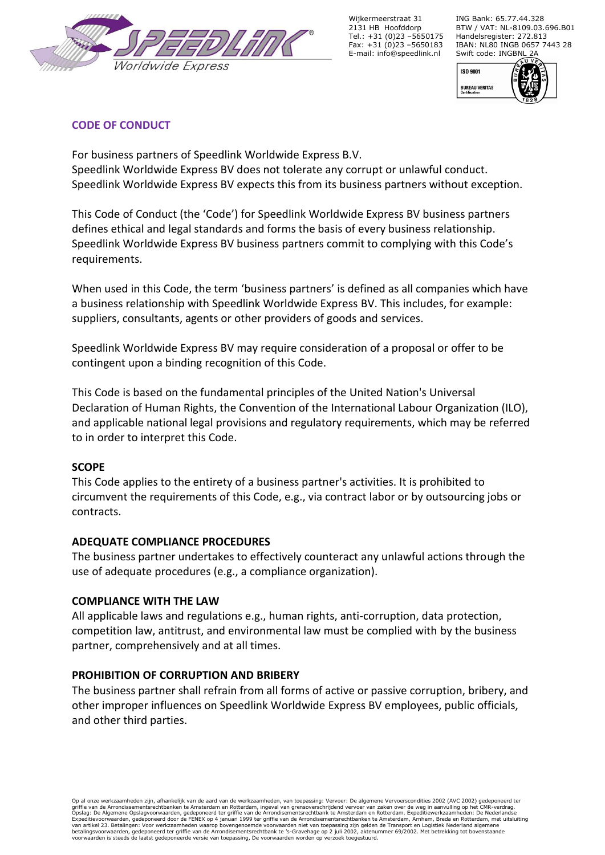

Wijkermeerstraat 31 2131 HB Hoofddorp Tel.: +31 (0)23 –5650175 Fax: +31 (0)23 –5650183 E-mail: info@speedlink.nl

ING Bank: 65.77.44.328 BTW / VAT: NL-8109.03.696.B01 Handelsregister: 272.813 IBAN: NL80 INGB 0657 7443 28 Swift code: INGBNL 2A



## **CODE OF CONDUCT**

For business partners of Speedlink Worldwide Express B.V. Speedlink Worldwide Express BV does not tolerate any corrupt or unlawful conduct. Speedlink Worldwide Express BV expects this from its business partners without exception.

This Code of Conduct (the 'Code') for Speedlink Worldwide Express BV business partners defines ethical and legal standards and forms the basis of every business relationship. Speedlink Worldwide Express BV business partners commit to complying with this Code's requirements.

When used in this Code, the term 'business partners' is defined as all companies which have a business relationship with Speedlink Worldwide Express BV. This includes, for example: suppliers, consultants, agents or other providers of goods and services.

Speedlink Worldwide Express BV may require consideration of a proposal or offer to be contingent upon a binding recognition of this Code.

This Code is based on the fundamental principles of the United Nation's Universal Declaration of Human Rights, the Convention of the International Labour Organization (ILO), and applicable national legal provisions and regulatory requirements, which may be referred to in order to interpret this Code.

### **SCOPE**

This Code applies to the entirety of a business partner's activities. It is prohibited to circumvent the requirements of this Code, e.g., via contract labor or by outsourcing jobs or contracts.

### **ADEQUATE COMPLIANCE PROCEDURES**

The business partner undertakes to effectively counteract any unlawful actions through the use of adequate procedures (e.g., a compliance organization).

#### **COMPLIANCE WITH THE LAW**

All applicable laws and regulations e.g., human rights, anti-corruption, data protection, competition law, antitrust, and environmental law must be complied with by the business partner, comprehensively and at all times.

### **PROHIBITION OF CORRUPTION AND BRIBERY**

The business partner shall refrain from all forms of active or passive corruption, bribery, and other improper influences on Speedlink Worldwide Express BV employees, public officials, and other third parties.

Op al onze werkzaamheden zijn, afhankelijk van de aard van de werkzaamheden, van toepassing: Vervoer: De algemene Vervoerscondities 2002 (AVC 2002) gedeponeerd ter<br>griffie van de Arrondissementsrechtbanken tem der Rotterda Expeditievoorwaarden, gedeponeerd door de FENEX op 4 januari 1999 ter griffie van de Arrondisementsrechtbanken te Amsterdam, Arnhem, Breda en Rotterdam, met uitsluiting<br>betalingsvoorwaarden, gedeponeerd ter griffie van de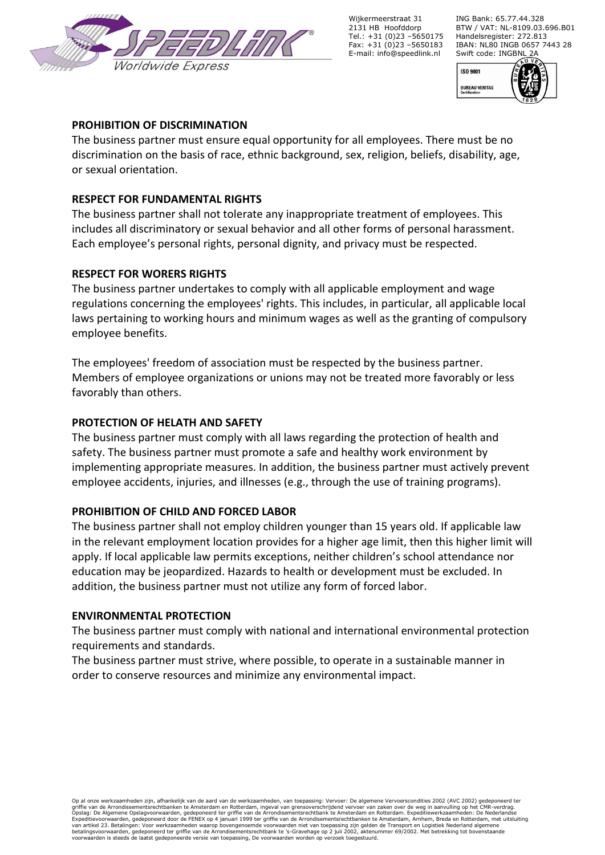

Wijkermeerstraat 31 2131 HB Hoofddorp Tel.: +31 (0)23 –5650175 Fax:  $+31$  (0)23 -5650183 E-mail: info@speedlink.nl

ING Bank: 65.77.44.328 BTW / VAT: NL-8109.03.696.B01 Handelsregister: 272.813 IBAN: NL80 INGB 0657 7443 28 Swift code: INGBNL 2A



### **PROHIBITION OF DISCRIMINATION**

The business partner must ensure equal opportunity for all employees. There must be no discrimination on the basis of race, ethnic background, sex, religion, beliefs, disability, age, or sexual orientation.

## **RESPECT FOR FUNDAMENTAL RIGHTS**

The business partner shall not tolerate any inappropriate treatment of employees. This includes all discriminatory or sexual behavior and all other forms of personal harassment. Each employee's personal rights, personal dignity, and privacy must be respected.

## **RESPECT FOR WORERS RIGHTS**

The business partner undertakes to comply with all applicable employment and wage regulations concerning the employees' rights. This includes, in particular, all applicable local laws pertaining to working hours and minimum wages as well as the granting of compulsory employee benefits.

The employees' freedom of association must be respected by the business partner. Members of employee organizations or unions may not be treated more favorably or less favorably than others.

# **PROTECTION OF HELATH AND SAFETY**

The business partner must comply with all laws regarding the protection of health and safety. The business partner must promote a safe and healthy work environment by implementing appropriate measures. In addition, the business partner must actively prevent employee accidents, injuries, and illnesses (e.g., through the use of training programs).

# **PROHIBITION OF CHILD AND FORCED LABOR**

The business partner shall not employ children younger than 15 years old. If applicable law in the relevant employment location provides for a higher age limit, then this higher limit will apply. If local applicable law permits exceptions, neither children's school attendance nor education may be jeopardized. Hazards to health or development must be excluded. In addition, the business partner must not utilize any form of forced labor.

### **ENVIRONMENTAL PROTECTION**

The business partner must comply with national and international environmental protection requirements and standards.

The business partner must strive, where possible, to operate in a sustainable manner in order to conserve resources and minimize any environmental impact.

Op al onze werkzaamheden zijn, afhankelijk van de aard van de werkzaamheden, van toepassing: Vervoer: De algemene Vervoerscondities 2002 (AVC 2002) gedeponeerd ter<br>griffie van de Arrondissementsrechtbanken tem der Rotterda Expeditievoorwaarden, gedeponeerd door de FENEX op 4 januari 1999 ter griffie van de Arrondisementsrechtbanken te Amsterdam, Arnhem, Breda en Rotterdam, met uitsluiting<br>betalingsvoorwaarden, gedeponeerd ter griffie van de